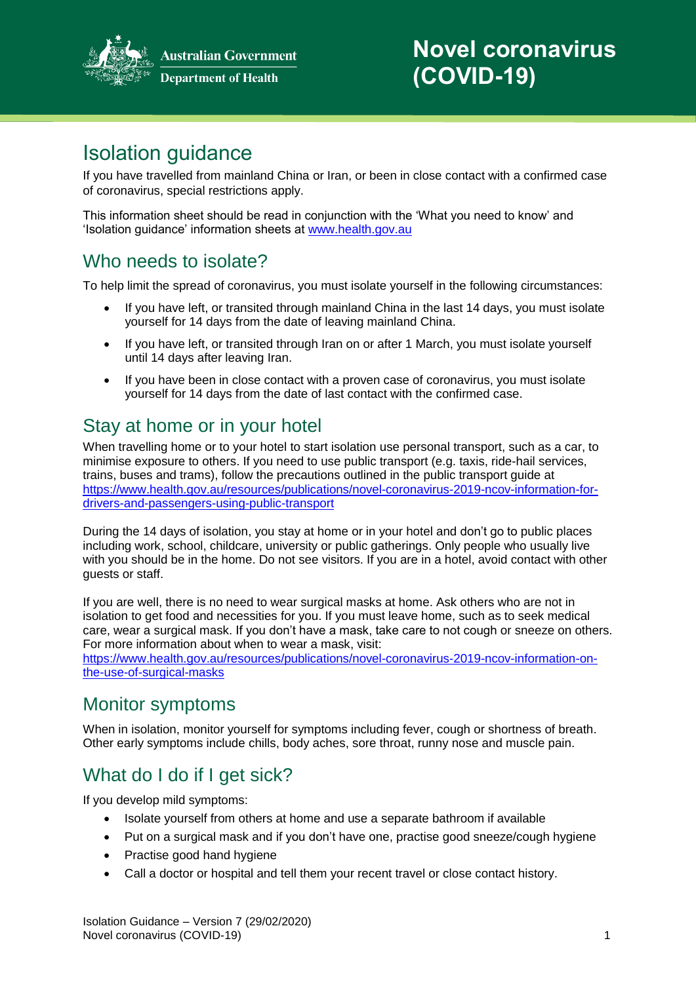

**Australian Government Department of Health** 

# Isolation guidance

If you have travelled from mainland China or Iran, or been in close contact with a confirmed case of coronavirus, special restrictions apply.

This information sheet should be read in conjunction with the 'What you need to know' and 'Isolation guidance' information sheets at [www.health.gov.au](http://www.health.gov.au/)

#### Who needs to isolate?

To help limit the spread of coronavirus, you must isolate yourself in the following circumstances:

- If you have left, or transited through mainland China in the last 14 days, you must isolate yourself for 14 days from the date of leaving mainland China.
- If you have left, or transited through Iran on or after 1 March, you must isolate yourself until 14 days after leaving Iran.
- If you have been in close contact with a proven case of coronavirus, you must isolate yourself for 14 days from the date of last contact with the confirmed case.

## Stay at home or in your hotel

When travelling home or to your hotel to start isolation use personal transport, such as a car, to minimise exposure to others. If you need to use public transport (e.g. taxis, ride-hail services, trains, buses and trams), follow the precautions outlined in the public transport guide at [https://www.health.gov.au/resources/publications/novel-coronavirus-2019-ncov-information-for](https://www.health.gov.au/resources/publications/novel-coronavirus-2019-ncov-information-for-drivers-and-passengers-using-public-transport)[drivers-and-passengers-using-public-transport](https://www.health.gov.au/resources/publications/novel-coronavirus-2019-ncov-information-for-drivers-and-passengers-using-public-transport)

During the 14 days of isolation, you stay at home or in your hotel and don't go to public places including work, school, childcare, university or public gatherings. Only people who usually live with you should be in the home. Do not see visitors. If you are in a hotel, avoid contact with other guests or staff.

If you are well, there is no need to wear surgical masks at home. Ask others who are not in isolation to get food and necessities for you. If you must leave home, such as to seek medical care, wear a surgical mask. If you don't have a mask, take care to not cough or sneeze on others. For more information about when to wear a mask, visit:

[https://www.health.gov.au/resources/publications/novel-coronavirus-2019-ncov-information-on](https://www.health.gov.au/resources/publications/novel-coronavirus-2019-ncov-information-on-the-use-of-surgical-masks)[the-use-of-surgical-masks](https://www.health.gov.au/resources/publications/novel-coronavirus-2019-ncov-information-on-the-use-of-surgical-masks)

#### Monitor symptoms

When in isolation, monitor yourself for symptoms including fever, cough or shortness of breath. Other early symptoms include chills, body aches, sore throat, runny nose and muscle pain.

## What do I do if I get sick?

If you develop mild symptoms:

- Isolate yourself from others at home and use a separate bathroom if available
- Put on a surgical mask and if you don't have one, practise good sneeze/cough hygiene
- Practise good hand hygiene
- Call a doctor or hospital and tell them your recent travel or close contact history.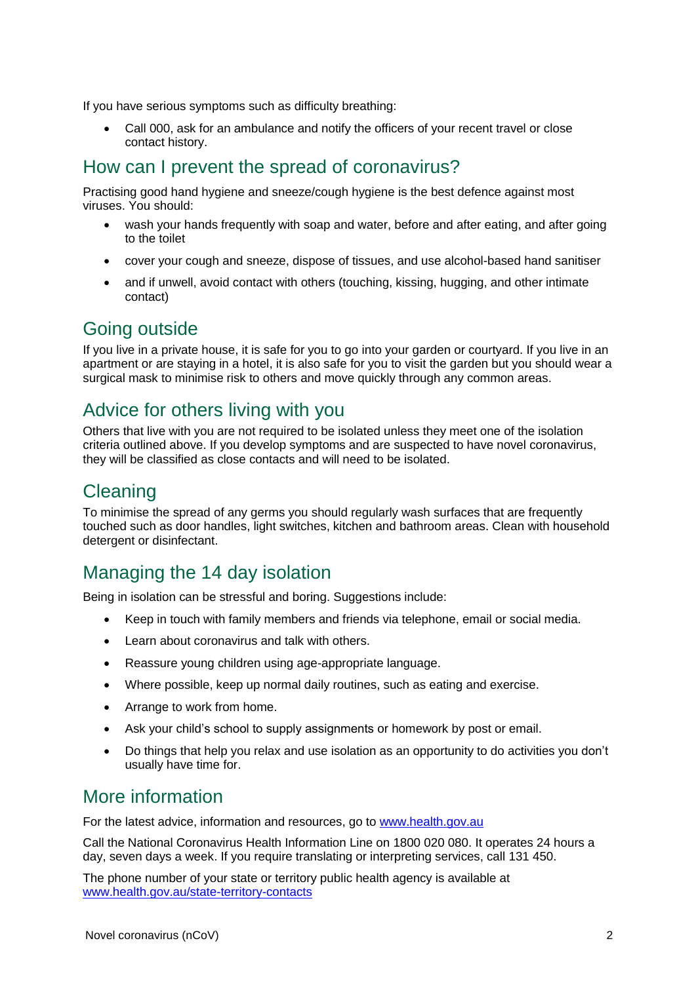If you have serious symptoms such as difficulty breathing:

 Call 000, ask for an ambulance and notify the officers of your recent travel or close contact history.

#### How can I prevent the spread of coronavirus?

Practising good hand hygiene and sneeze/cough hygiene is the best defence against most viruses. You should:

- wash your hands frequently with soap and water, before and after eating, and after going to the toilet
- cover your cough and sneeze, dispose of tissues, and use alcohol-based hand sanitiser
- and if unwell, avoid contact with others (touching, kissing, hugging, and other intimate contact)

#### Going outside

If you live in a private house, it is safe for you to go into your garden or courtyard. If you live in an apartment or are staying in a hotel, it is also safe for you to visit the garden but you should wear a surgical mask to minimise risk to others and move quickly through any common areas.

#### Advice for others living with you

Others that live with you are not required to be isolated unless they meet one of the isolation criteria outlined above. If you develop symptoms and are suspected to have novel coronavirus, they will be classified as close contacts and will need to be isolated.

#### Cleaning

To minimise the spread of any germs you should regularly wash surfaces that are frequently touched such as door handles, light switches, kitchen and bathroom areas. Clean with household detergent or disinfectant.

### Managing the 14 day isolation

Being in isolation can be stressful and boring. Suggestions include:

- Keep in touch with family members and friends via telephone, email or social media.
- Learn about coronavirus and talk with others.
- Reassure young children using age-appropriate language.
- Where possible, keep up normal daily routines, such as eating and exercise.
- Arrange to work from home.
- Ask your child's school to supply assignments or homework by post or email.
- Do things that help you relax and use isolation as an opportunity to do activities you don't usually have time for.

#### More information

For the latest advice, information and resources, go to [www.health.gov.au](http://www.health.gov.au/)

Call the National Coronavirus Health Information Line on 1800 020 080. It operates 24 hours a day, seven days a week. If you require translating or interpreting services, call 131 450.

The phone number of your state or territory public health agency is available at [www.health.gov.au/state-territory-contacts](https://www.health.gov.au/about-us/contact-us/local-state-and-territory-health-departments)